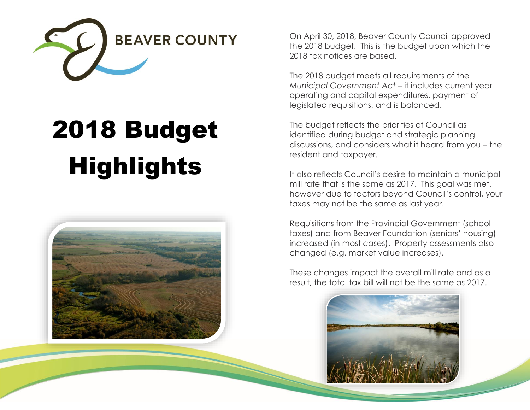

# 2018 Budget **Highlights**



On April 30, 2018, Beaver County Council approved the 2018 budget. This is the budget upon which the 2018 tax notices are based.

The 2018 budget meets all requirements of the *Municipal Government Act* – it includes current year operating and capital expenditures, payment of legislated requisitions, and is balanced.

The budget reflects the priorities of Council as identified during budget and strategic planning discussions, and considers what it heard from you – the resident and taxpayer.

It also reflects Council's desire to maintain a municipal mill rate that is the same as 2017. This goal was met, however due to factors beyond Council's control, your taxes may not be the same as last year.

Requisitions from the Provincial Government (school taxes) and from Beaver Foundation (seniors' housing) increased (in most cases). Property assessments also changed (e.g. market value increases).

These changes impact the overall mill rate and as a result, the total tax bill will not be the same as 2017.

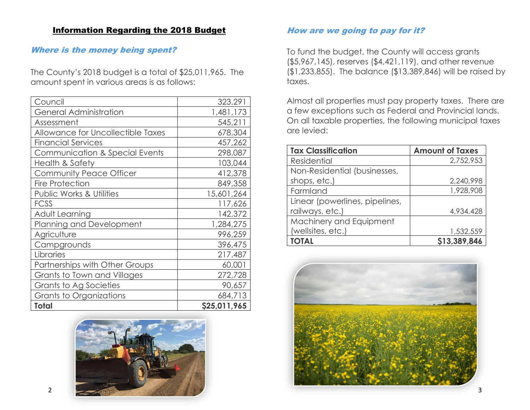#### Information Regarding the 2018 Budget

### Where is the money being spent?

The County's 2018 budget is a total of \$25,011,965. The amount spent in various areas is as follows:

| <b>Total</b>                        | \$25,011,965 |
|-------------------------------------|--------------|
| Grants to Organizations             | 684,713      |
| Grants to Ag Societies              | 90,657       |
| Grants to Town and Villages         | 272,728      |
| Partnerships with Other Groups      | 60,001       |
| Libraries                           | 217,487      |
| Campgrounds                         | 396,475      |
| Agriculture                         | 996,259      |
| Planning and Development            | 1,284,275    |
| Adult Learning                      | 142,372      |
| <b>FCSS</b>                         | 117,626      |
| <b>Public Works &amp; Utilities</b> | 15,601,264   |
| <b>Fire Protection</b>              | 849,358      |
| <b>Community Peace Officer</b>      | 412,378      |
| <b>Health &amp; Safety</b>          | 103,044      |
| Communication & Special Events      | 298,087      |
| <b>Financial Services</b>           | 457,262      |
| Allowance for Uncollectible Taxes   | 678,304      |
| Assessment                          | 545,211      |
| <b>General Administration</b>       | 1,481,173    |
| Council                             | 323,291      |



#### How are we going to pay for it?

To fund the budget, the County will access grants (\$5,967,145), reserves (\$4,421,119), and other revenue (\$1,233,855). The balance (\$13,389,846) will be raised by taxes.

Almost all properties must pay property taxes. There are a few exceptions such as Federal and Provincial lands. On all taxable properties, the following municipal taxes are levied:

| <b>Tax Classification</b>      | <b>Amount of Taxes</b> |
|--------------------------------|------------------------|
| <b>Residential</b>             | 2,752,953              |
| Non-Residential (businesses,   |                        |
| shops, etc.)                   | 2,240,998              |
| Farmland                       | 1,928,908              |
| Linear (powerlines, pipelines, |                        |
| railways, etc.)                | 4,934,428              |
| Machinery and Equipment        |                        |
| (wellsites, etc.)              | 1,532,559              |
| <b>TOTAL</b>                   | \$13,389,846           |

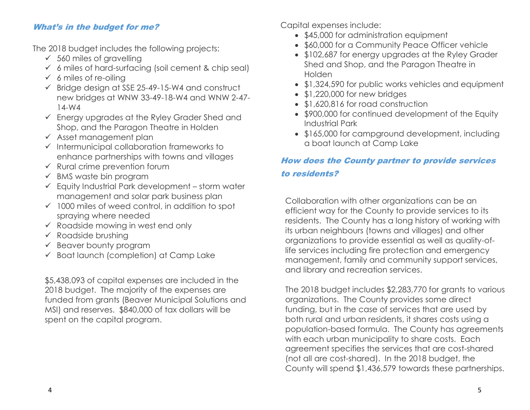## What's in the budget for me?

The 2018 budget includes the following projects:

- $\times$  560 miles of gravelling
- $6$  miles of hard-surfacing (soil cement & chip seal)
- $6$  miles of re-oiling
- $\checkmark$  Bridge design at SSE 25-49-15-W4 and construct new bridges at WNW 33-49-18-W4 and WNW 2-47- 14-W4
- Energy upgrades at the Ryley Grader Shed and Shop, and the Paragon Theatre in Holden
- $\checkmark$  Asset management plan
- $\checkmark$  Intermunicipal collaboration frameworks to enhance partnerships with towns and villages
- $\checkmark$  Rural crime prevention forum
- $\checkmark$  BMS waste bin program
- $\checkmark$  Equity Industrial Park development storm water management and solar park business plan
- $\checkmark$  1000 miles of weed control, in addition to spot spraying where needed
- $\checkmark$  Roadside mowing in west end only
- $\checkmark$  Roadside brushing
- $\checkmark$  Beaver bounty program
- $\checkmark$  Boat launch (completion) at Camp Lake

\$5,438,093 of capital expenses are included in the 2018 budget. The majority of the expenses are funded from grants (Beaver Municipal Solutions and MSI) and reserves. \$840,000 of tax dollars will be spent on the capital program.

Capital expenses include:

- \$45,000 for administration equipment
- \$60,000 for a Community Peace Officer vehicle
- \$102,687 for energy upgrades at the Ryley Grader Shed and Shop, and the Paragon Theatre in Holden
- \$1,324,590 for public works vehicles and equipment
- \$1,220,000 for new bridges
- \$1,620,816 for road construction
- \$900,000 for continued development of the Equity Industrial Park
- \$165,000 for campground development, including a boat launch at Camp Lake

## How does the County partner to provide services to residents?

Collaboration with other organizations can be an efficient way for the County to provide services to its residents. The County has a long history of working with its urban neighbours (towns and villages) and other organizations to provide essential as well as quality-oflife services including fire protection and emergency management, family and community support services, and library and recreation services.

The 2018 budget includes \$2,283,770 for grants to various organizations. The County provides some direct funding, but in the case of services that are used by both rural and urban residents, it shares costs using a population-based formula. The County has agreements with each urban municipality to share costs. Each agreement specifies the services that are cost-shared (not all are cost-shared). In the 2018 budget, the County will spend \$1,436,579 towards these partnerships.